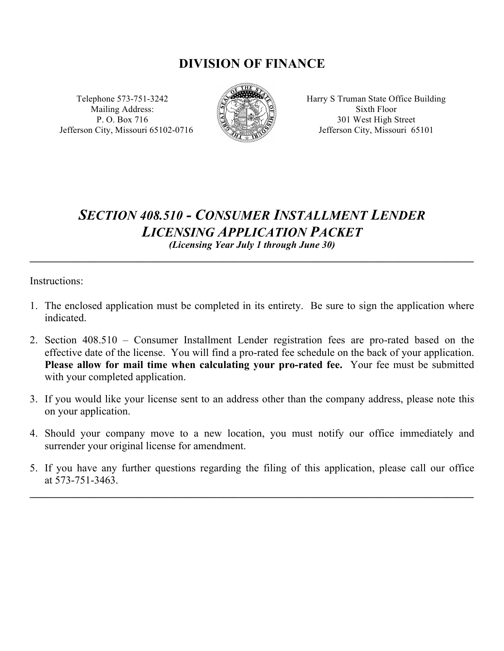# **DIVISION OF FINANCE**

Mailing Address:  $\mathbb{R} \setminus \mathbb{R}$  Sixth Floor Jefferson City, Missouri 65102-0716 Version States Jefferson City, Missouri 65101



Telephone 573-751-3242  $\mathbb{R}^{\bullet}$  Harry S Truman State Office Building P. O. Box 716  $\mathbb{S}$   $\mathbb{R}$   $\mathbb{S}$  301 West High Street

# *SECTION 408.510 - CONSUMER INSTALLMENT LENDER LICENSING APPLICATION PACKET (Licensing Year July 1 through June 30)*

**\_\_\_\_\_\_\_\_\_\_\_\_\_\_\_\_\_\_\_\_\_\_\_\_\_\_\_\_\_\_\_\_\_\_\_\_\_\_\_\_\_\_\_\_\_\_\_\_\_\_\_\_\_\_\_\_\_\_\_\_\_\_\_\_\_\_\_\_\_\_\_\_\_\_\_\_\_\_\_\_\_\_\_**

Instructions:

- 1. The enclosed application must be completed in its entirety. Be sure to sign the application where indicated.
- 2. Section 408.510 Consumer Installment Lender registration fees are pro-rated based on the effective date of the license. You will find a pro-rated fee schedule on the back of your application. Please allow for mail time when calculating your pro-rated fee. Your fee must be submitted with your completed application.
- 3. If you would like your license sent to an address other than the company address, please note this on your application.
- 4. Should your company move to a new location, you must notify our office immediately and surrender your original license for amendment.
- 5. If you have any further questions regarding the filing of this application, please call our office at 573-751-3463.

**\_\_\_\_\_\_\_\_\_\_\_\_\_\_\_\_\_\_\_\_\_\_\_\_\_\_\_\_\_\_\_\_\_\_\_\_\_\_\_\_\_\_\_\_\_\_\_\_\_\_\_\_\_\_\_\_\_\_\_\_\_\_\_\_\_\_\_\_\_\_\_\_\_\_\_\_\_\_\_\_\_\_\_**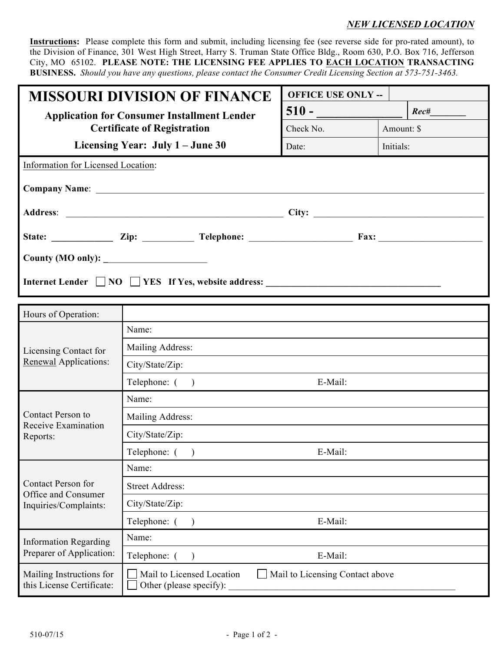### *NEW LICENSED LOCATION*

**Instructions:** Please complete this form and submit, including licensing fee (see reverse side for pro-rated amount), to the Division of Finance, 301 West High Street, Harry S. Truman State Office Bldg., Room 630, P.O. Box 716, Jefferson City, MO 65102. **PLEASE NOTE: THE LICENSING FEE APPLIES TO EACH LOCATION TRANSACTING BUSINESS.** *Should you have any questions, please contact the Consumer Credit Licensing Section at 573-751-3463.*

| <b>MISSOURI DIVISION OF FINANCE</b>                           | <b>OFFICE USE ONLY --</b> |            |  |  |  |
|---------------------------------------------------------------|---------------------------|------------|--|--|--|
| <b>Application for Consumer Installment Lender</b>            | $510 -$                   | Rec#       |  |  |  |
| <b>Certificate of Registration</b>                            | Check No.                 | Amount: \$ |  |  |  |
| Licensing Year: July 1 – June 30                              | Date:                     | Initials:  |  |  |  |
| Information for Licensed Location:                            |                           |            |  |  |  |
|                                                               |                           |            |  |  |  |
|                                                               |                           |            |  |  |  |
| State: <u>Zip: Zip: Telephone: Fax:</u>                       |                           |            |  |  |  |
|                                                               |                           |            |  |  |  |
| Internet Lender $\Box$ NO $\Box$ YES If Yes, website address: |                           |            |  |  |  |

| Hours of Operation:                                                       |                                                                                         |
|---------------------------------------------------------------------------|-----------------------------------------------------------------------------------------|
| Licensing Contact for                                                     | Name:                                                                                   |
|                                                                           | Mailing Address:                                                                        |
| <b>Renewal Applications:</b>                                              | City/State/Zip:                                                                         |
|                                                                           | Telephone: (<br>E-Mail:<br>$\rightarrow$                                                |
|                                                                           | Name:                                                                                   |
| Contact Person to                                                         | Mailing Address:                                                                        |
| Receive Examination<br>Reports:                                           | City/State/Zip:                                                                         |
|                                                                           | E-Mail:<br>Telephone: (<br>$\rightarrow$                                                |
| <b>Contact Person for</b><br>Office and Consumer<br>Inquiries/Complaints: | Name:                                                                                   |
|                                                                           | <b>Street Address:</b>                                                                  |
|                                                                           | City/State/Zip:                                                                         |
|                                                                           | Telephone: $($ )<br>E-Mail:                                                             |
| <b>Information Regarding</b>                                              | Name:                                                                                   |
| Preparer of Application:                                                  | Telephone: ()<br>E-Mail:                                                                |
| Mailing Instructions for<br>this License Certificate:                     | Mail to Licensed Location<br>Mail to Licensing Contact above<br>Other (please specify): |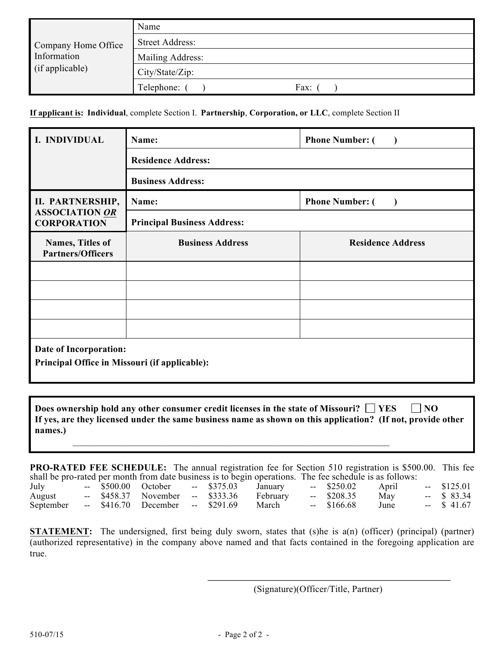|                     | Name                   |
|---------------------|------------------------|
| Company Home Office | <b>Street Address:</b> |
| Information         | Mailing Address:       |
| (if applicable)     | City/State/Zip:        |
|                     | Telephone:<br>Fax:     |

**If applicant is: Individual**, complete Section I. **Partnership**, **Corporation, or LLC**, complete Section II

| I. INDIVIDUAL                                 | Name:                              | <b>Phone Number: (</b>              |  |  |  |  |  |
|-----------------------------------------------|------------------------------------|-------------------------------------|--|--|--|--|--|
|                                               | <b>Residence Address:</b>          |                                     |  |  |  |  |  |
|                                               | <b>Business Address:</b>           |                                     |  |  |  |  |  |
| II. PARTNERSHIP,                              | Name:                              | <b>Phone Number: (</b><br>$\lambda$ |  |  |  |  |  |
| <b>ASSOCIATION OR</b><br><b>CORPORATION</b>   | <b>Principal Business Address:</b> |                                     |  |  |  |  |  |
| Names, Titles of<br><b>Partners/Officers</b>  | <b>Business Address</b>            | <b>Residence Address</b>            |  |  |  |  |  |
|                                               |                                    |                                     |  |  |  |  |  |
|                                               |                                    |                                     |  |  |  |  |  |
|                                               |                                    |                                     |  |  |  |  |  |
|                                               |                                    |                                     |  |  |  |  |  |
| Date of Incorporation:                        |                                    |                                     |  |  |  |  |  |
| Principal Office in Missouri (if applicable): |                                    |                                     |  |  |  |  |  |

**Does** ownership hold any other consumer credit licenses in the state of Missouri?  $\Box$  YES  $\Box$  NO **If yes, are they licensed under the same business name as shown on this application? (If not, provide other names.)** 

\_\_\_\_\_\_\_\_\_\_\_\_\_\_\_\_\_\_\_\_\_\_\_\_\_\_\_\_\_\_\_\_\_\_\_\_\_\_\_\_\_\_\_\_\_\_\_\_\_\_\_\_\_\_\_\_\_\_\_\_\_\_\_\_\_\_\_

**PRO-RATED FEE SCHEDULE:** The annual registration fee for Section 510 registration is \$500.00. This fee shall be pro-rated per month from date business is to begin operations. The fee schedule is as follows:

|           |  |                                  |  | <u>cieni ce bio imene bai nichun ilcin mute cucinent il to celeni chaimatono. Tile ies centembre il mo toilo hot</u> |              |       |              |
|-----------|--|----------------------------------|--|----------------------------------------------------------------------------------------------------------------------|--------------|-------|--------------|
| July      |  |                                  |  | -- \$500.00 October -- \$375.03 January                                                                              | $-$ \$250.02 | April | $-$ \$125.01 |
| August    |  |                                  |  | -- \$458.37 November -- \$333.36 February                                                                            | $-$ \$208.35 | May   | $-$ \$ 83.34 |
| September |  | -- \$416.70 December -- \$291.69 |  | March                                                                                                                | -- \$166.68  | June  | $-$ \$ 41.67 |

**STATEMENT:** The undersigned, first being duly sworn, states that (s)he is a(n) (officer) (principal) (partner) (authorized representative) in the company above named and that facts contained in the foregoing application are true.

(Signature)(Officer/Title, Partner)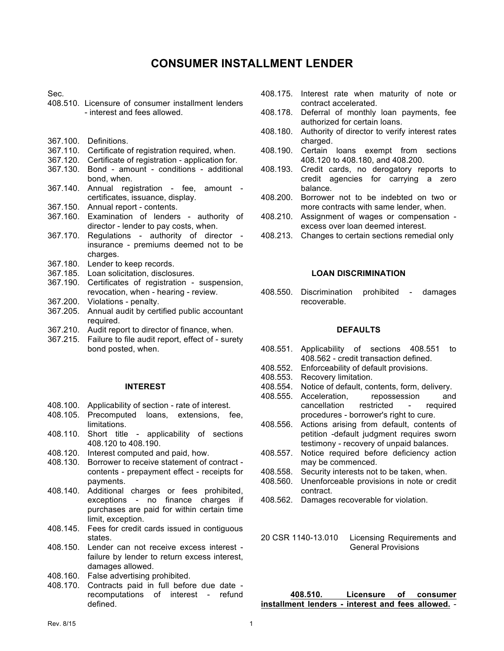## **CONSUMER INSTALLMENT LENDER**

Sec.

- 408.510. Licensure of consumer installment lenders - interest and fees allowed.
- 367.100. Definitions.
- 367.110. Certificate of registration required, when.
- 367.120. Certificate of registration application for.
- 367.130. Bond amount conditions additional bond, when.
- 367.140. Annual registration fee, amount certificates, issuance, display.
- 367.150. Annual report contents.
- 367.160. Examination of lenders authority of director - lender to pay costs, when.
- 367.170. Regulations authority of director insurance - premiums deemed not to be charges.
- 367.180. Lender to keep records.
- 367.185. Loan solicitation, disclosures.
- 367.190. Certificates of registration suspension, revocation, when - hearing - review.
- 367.200. Violations penalty.
- 367.205. Annual audit by certified public accountant required.
- 367.210. Audit report to director of finance, when.
- 367.215. Failure to file audit report, effect of surety bond posted, when.

#### **INTEREST**

- 408.100. Applicability of section rate of interest.
- 408.105. Precomputed loans, extensions, fee, limitations.
- 408.110. Short title applicability of sections 408.120 to 408.190.
- 408.120. Interest computed and paid, how.
- 408.130. Borrower to receive statement of contract contents - prepayment effect - receipts for payments.
- 408.140. Additional charges or fees prohibited, exceptions - no finance charges if purchases are paid for within certain time limit, exception.
- 408.145. Fees for credit cards issued in contiguous states.
- 408.150. Lender can not receive excess interest failure by lender to return excess interest, damages allowed.
- 408.160. False advertising prohibited.
- 408.170. Contracts paid in full before due date recomputations of interest - refund defined.
- 408.175. Interest rate when maturity of note or contract accelerated.
- 408.178. Deferral of monthly loan payments, fee authorized for certain loans.
- 408.180. Authority of director to verify interest rates charged.
- 408.190. Certain loans exempt from sections 408.120 to 408.180, and 408.200.
- 408.193. Credit cards, no derogatory reports to credit agencies for carrying a zero balance.
- 408.200. Borrower not to be indebted on two or more contracts with same lender, when.
- 408.210. Assignment of wages or compensation excess over loan deemed interest.
- 408.213. Changes to certain sections remedial only

#### **LOAN DISCRIMINATION**

408.550. Discrimination prohibited - damages recoverable.

#### **DEFAULTS**

- 408.551. Applicability of sections 408.551 to 408.562 - credit transaction defined.
- 408.552. Enforceability of default provisions.
- 408.553. Recovery limitation.
- Notice of default, contents, form, delivery.
- 408.555. Acceleration, repossession and cancellation restricted - required procedures - borrower's right to cure.
- 408.556. Actions arising from default, contents of petition -default judgment requires sworn testimony - recovery of unpaid balances.
- 408.557. Notice required before deficiency action may be commenced.
- 408.558. Security interests not to be taken, when.
- 408.560. Unenforceable provisions in note or credit contract.
- 408.562. Damages recoverable for violation.

20 CSR 1140-13.010 Licensing Requirements and General Provisions

#### **408.510. Licensure of consumer installment lenders - interest and fees allowed.** -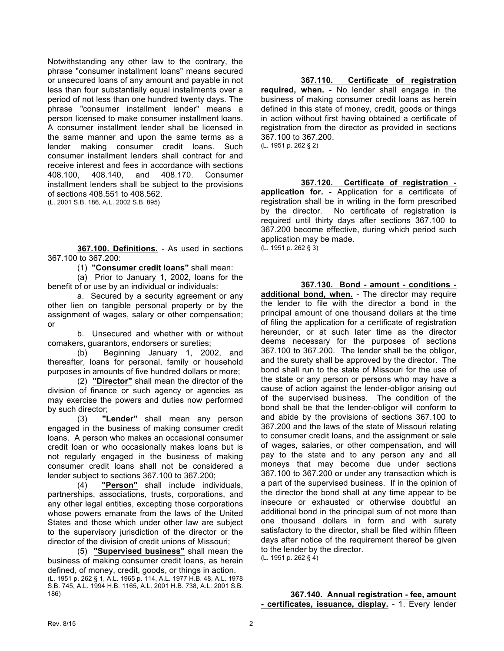Notwithstanding any other law to the contrary, the phrase "consumer installment loans" means secured or unsecured loans of any amount and payable in not less than four substantially equal installments over a period of not less than one hundred twenty days. The phrase "consumer installment lender" means a person licensed to make consumer installment loans. A consumer installment lender shall be licensed in the same manner and upon the same terms as a lender making consumer credit loans. Such consumer installment lenders shall contract for and receive interest and fees in accordance with sections 408.100, 408.140, and 408.170. Consumer installment lenders shall be subject to the provisions of sections 408.551 to 408.562.

(L. 2001 S.B. 186, A.L. 2002 S.B. 895)

**367.100. Definitions.** - As used in sections 367.100 to 367.200:

(1) **"Consumer credit loans"** shall mean:

(a) Prior to January 1, 2002, loans for the benefit of or use by an individual or individuals:

a. Secured by a security agreement or any other lien on tangible personal property or by the assignment of wages, salary or other compensation; or

b. Unsecured and whether with or without comakers, guarantors, endorsers or sureties;

(b) Beginning January 1, 2002, and thereafter, loans for personal, family or household purposes in amounts of five hundred dollars or more;

(2) **"Director"** shall mean the director of the division of finance or such agency or agencies as may exercise the powers and duties now performed by such director;

(3) **"Lender"** shall mean any person engaged in the business of making consumer credit loans. A person who makes an occasional consumer credit loan or who occasionally makes loans but is not regularly engaged in the business of making consumer credit loans shall not be considered a lender subject to sections 367.100 to 367.200;

(4) **"Person"** shall include individuals, partnerships, associations, trusts, corporations, and any other legal entities, excepting those corporations whose powers emanate from the laws of the United States and those which under other law are subject to the supervisory jurisdiction of the director or the director of the division of credit unions of Missouri;

(5) **"Supervised business"** shall mean the business of making consumer credit loans, as herein defined, of money, credit, goods, or things in action. (L. 1951 p. 262 § 1, A.L. 1965 p. 114, A.L. 1977 H.B. 48, A.L. 1978 S.B. 745, A.L. 1994 H.B. 1165, A.L. 2001 H.B. 738, A.L. 2001 S.B. 186)

**367.110. Certificate of registration required, when.** - No lender shall engage in the business of making consumer credit loans as herein defined in this state of money, credit, goods or things in action without first having obtained a certificate of registration from the director as provided in sections 367.100 to 367.200.

(L. 1951 p. 262 § 2)

**367.120. Certificate of registration application for.** - Application for a certificate of registration shall be in writing in the form prescribed by the director. No certificate of registration is required until thirty days after sections 367.100 to 367.200 become effective, during which period such application may be made. (L. 1951 p. 262 § 3)

**367.130. Bond - amount - conditions additional bond, when.** - The director may require the lender to file with the director a bond in the principal amount of one thousand dollars at the time of filing the application for a certificate of registration hereunder, or at such later time as the director deems necessary for the purposes of sections 367.100 to 367.200. The lender shall be the obligor, and the surety shall be approved by the director. The bond shall run to the state of Missouri for the use of the state or any person or persons who may have a cause of action against the lender-obligor arising out of the supervised business. The condition of the bond shall be that the lender-obligor will conform to and abide by the provisions of sections 367.100 to 367.200 and the laws of the state of Missouri relating to consumer credit loans, and the assignment or sale of wages, salaries, or other compensation, and will pay to the state and to any person any and all moneys that may become due under sections 367.100 to 367.200 or under any transaction which is a part of the supervised business. If in the opinion of the director the bond shall at any time appear to be insecure or exhausted or otherwise doubtful an additional bond in the principal sum of not more than one thousand dollars in form and with surety satisfactory to the director, shall be filed within fifteen days after notice of the requirement thereof be given to the lender by the director. (L. 1951 p. 262 § 4)

#### **367.140. Annual registration - fee, amount - certificates, issuance, display.** - 1. Every lender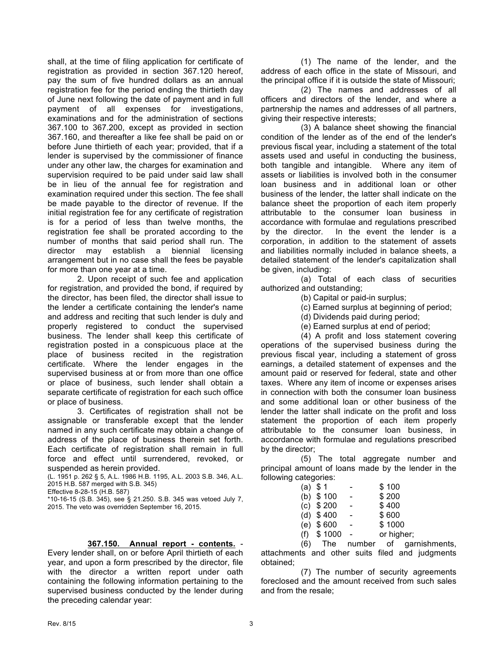shall, at the time of filing application for certificate of registration as provided in section 367.120 hereof, pay the sum of five hundred dollars as an annual registration fee for the period ending the thirtieth day of June next following the date of payment and in full payment of all expenses for investigations, examinations and for the administration of sections 367.100 to 367.200, except as provided in section 367.160, and thereafter a like fee shall be paid on or before June thirtieth of each year; provided, that if a lender is supervised by the commissioner of finance under any other law, the charges for examination and supervision required to be paid under said law shall be in lieu of the annual fee for registration and examination required under this section. The fee shall be made payable to the director of revenue. If the initial registration fee for any certificate of registration is for a period of less than twelve months, the registration fee shall be prorated according to the number of months that said period shall run. The director may establish a biennial licensing arrangement but in no case shall the fees be payable for more than one year at a time.

2. Upon receipt of such fee and application for registration, and provided the bond, if required by the director, has been filed, the director shall issue to the lender a certificate containing the lender's name and address and reciting that such lender is duly and properly registered to conduct the supervised business. The lender shall keep this certificate of registration posted in a conspicuous place at the place of business recited in the registration certificate. Where the lender engages in the supervised business at or from more than one office or place of business, such lender shall obtain a separate certificate of registration for each such office or place of business.

3. Certificates of registration shall not be assignable or transferable except that the lender named in any such certificate may obtain a change of address of the place of business therein set forth. Each certificate of registration shall remain in full force and effect until surrendered, revoked, or suspended as herein provided.

(L. 1951 p. 262 § 5, A.L. 1986 H.B. 1195, A.L. 2003 S.B. 346, A.L. 2015 H.B. 587 merged with S.B. 345)

Effective 8-28-15 (H.B. 587)

\*10-16-15 (S.B. 345), see § 21.250. S.B. 345 was vetoed July 7, 2015. The veto was overridden September 16, 2015.

#### **367.150. Annual report - contents.** -

Every lender shall, on or before April thirtieth of each year, and upon a form prescribed by the director, file with the director a written report under oath containing the following information pertaining to the supervised business conducted by the lender during the preceding calendar year:

(1) The name of the lender, and the address of each office in the state of Missouri, and the principal office if it is outside the state of Missouri;

(2) The names and addresses of all officers and directors of the lender, and where a partnership the names and addresses of all partners, giving their respective interests;

(3) A balance sheet showing the financial condition of the lender as of the end of the lender's previous fiscal year, including a statement of the total assets used and useful in conducting the business, both tangible and intangible. Where any item of assets or liabilities is involved both in the consumer loan business and in additional loan or other business of the lender, the latter shall indicate on the balance sheet the proportion of each item properly attributable to the consumer loan business in accordance with formulae and regulations prescribed by the director. In the event the lender is a corporation, in addition to the statement of assets and liabilities normally included in balance sheets, a detailed statement of the lender's capitalization shall be given, including:

(a) Total of each class of securities authorized and outstanding;

(b) Capital or paid-in surplus;

(c) Earned surplus at beginning of period;

(d) Dividends paid during period;

(e) Earned surplus at end of period;

(4) A profit and loss statement covering operations of the supervised business during the previous fiscal year, including a statement of gross earnings, a detailed statement of expenses and the amount paid or reserved for federal, state and other taxes. Where any item of income or expenses arises in connection with both the consumer loan business and some additional loan or other business of the lender the latter shall indicate on the profit and loss statement the proportion of each item properly attributable to the consumer loan business, in accordance with formulae and regulations prescribed by the director;

(5) The total aggregate number and principal amount of loans made by the lender in the following categories:

|  | $(a)$ \$ 1    |   | \$100      |
|--|---------------|---|------------|
|  | (b) $$100$    |   | \$200      |
|  | $(c)$ \$ 200  |   | \$400      |
|  | $(d)$ \$400   |   | \$600      |
|  | $(e)$ \$600   | - | \$1000     |
|  | $(f)$ \$ 1000 |   | or higher; |

(6) The number of garnishments, attachments and other suits filed and judgments obtained;

(7) The number of security agreements foreclosed and the amount received from such sales and from the resale;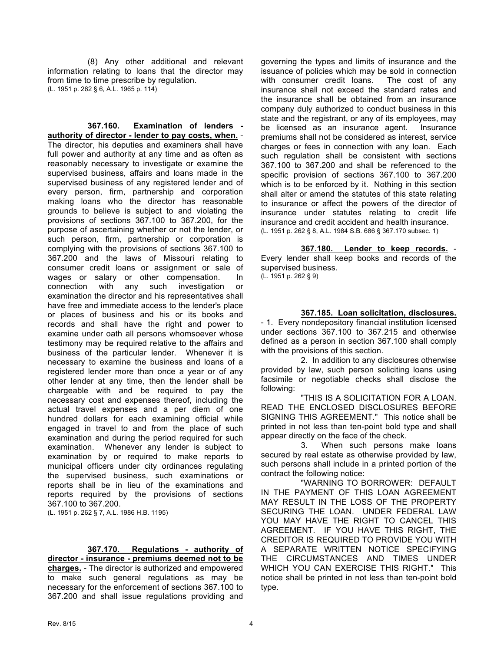(8) Any other additional and relevant information relating to loans that the director may from time to time prescribe by regulation. (L. 1951 p. 262 § 6, A.L. 1965 p. 114)

**367.160. Examination of lenders authority of director - lender to pay costs, when.** - The director, his deputies and examiners shall have full power and authority at any time and as often as reasonably necessary to investigate or examine the supervised business, affairs and loans made in the supervised business of any registered lender and of every person, firm, partnership and corporation making loans who the director has reasonable grounds to believe is subject to and violating the provisions of sections 367.100 to 367.200, for the purpose of ascertaining whether or not the lender, or such person, firm, partnership or corporation is complying with the provisions of sections 367.100 to 367.200 and the laws of Missouri relating to consumer credit loans or assignment or sale of wages or salary or other compensation. In connection with any such investigation or examination the director and his representatives shall have free and immediate access to the lender's place or places of business and his or its books and records and shall have the right and power to examine under oath all persons whomsoever whose testimony may be required relative to the affairs and business of the particular lender. Whenever it is necessary to examine the business and loans of a registered lender more than once a year or of any other lender at any time, then the lender shall be chargeable with and be required to pay the necessary cost and expenses thereof, including the actual travel expenses and a per diem of one hundred dollars for each examining official while engaged in travel to and from the place of such examination and during the period required for such examination. Whenever any lender is subject to examination by or required to make reports to municipal officers under city ordinances regulating the supervised business, such examinations or reports shall be in lieu of the examinations and reports required by the provisions of sections 367.100 to 367.200.

(L. 1951 p. 262 § 7, A.L. 1986 H.B. 1195)

#### **367.170. Regulations - authority of**

**director - insurance - premiums deemed not to be charges.** - The director is authorized and empowered to make such general regulations as may be necessary for the enforcement of sections 367.100 to 367.200 and shall issue regulations providing and governing the types and limits of insurance and the issuance of policies which may be sold in connection with consumer credit loans. The cost of any insurance shall not exceed the standard rates and the insurance shall be obtained from an insurance company duly authorized to conduct business in this state and the registrant, or any of its employees, may be licensed as an insurance agent. Insurance premiums shall not be considered as interest, service charges or fees in connection with any loan. Each such regulation shall be consistent with sections 367.100 to 367.200 and shall be referenced to the specific provision of sections 367.100 to 367.200 which is to be enforced by it. Nothing in this section shall alter or amend the statutes of this state relating to insurance or affect the powers of the director of insurance under statutes relating to credit life insurance and credit accident and health insurance. (L. 1951 p. 262 § 8, A.L. 1984 S.B. 686 § 367.170 subsec. 1)

**367.180. Lender to keep records.** - Every lender shall keep books and records of the supervised business. (L. 1951 p. 262 § 9)

#### **367.185. Loan solicitation, disclosures.**

- 1. Every nondepository financial institution licensed under sections 367.100 to 367.215 and otherwise defined as a person in section 367.100 shall comply with the provisions of this section.

2. In addition to any disclosures otherwise provided by law, such person soliciting loans using facsimile or negotiable checks shall disclose the following:

"THIS IS A SOLICITATION FOR A LOAN. READ THE ENCLOSED DISCLOSURES BEFORE SIGNING THIS AGREEMENT." This notice shall be printed in not less than ten-point bold type and shall appear directly on the face of the check.

3. When such persons make loans secured by real estate as otherwise provided by law, such persons shall include in a printed portion of the contract the following notice:

"WARNING TO BORROWER: DEFAULT IN THE PAYMENT OF THIS LOAN AGREEMENT MAY RESULT IN THE LOSS OF THE PROPERTY SECURING THE LOAN. UNDER FEDERAL LAW YOU MAY HAVE THE RIGHT TO CANCEL THIS AGREEMENT. IF YOU HAVE THIS RIGHT, THE CREDITOR IS REQUIRED TO PROVIDE YOU WITH A SEPARATE WRITTEN NOTICE SPECIFYING THE CIRCUMSTANCES AND TIMES UNDER WHICH YOU CAN EXERCISE THIS RIGHT." This notice shall be printed in not less than ten-point bold type.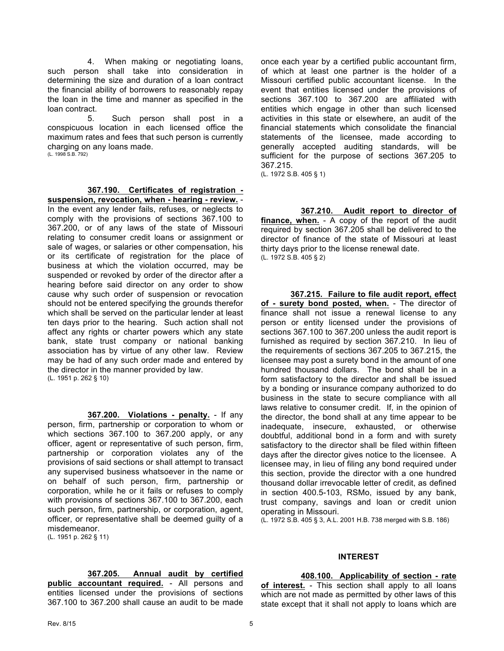4. When making or negotiating loans, such person shall take into consideration in determining the size and duration of a loan contract the financial ability of borrowers to reasonably repay the loan in the time and manner as specified in the loan contract.

5. Such person shall post in a conspicuous location in each licensed office the maximum rates and fees that such person is currently charging on any loans made.

(L. 1998 S.B. 792)

**367.190. Certificates of registration -**

**suspension, revocation, when - hearing - review.** - In the event any lender fails, refuses, or neglects to comply with the provisions of sections 367.100 to 367.200, or of any laws of the state of Missouri relating to consumer credit loans or assignment or sale of wages, or salaries or other compensation, his or its certificate of registration for the place of business at which the violation occurred, may be suspended or revoked by order of the director after a hearing before said director on any order to show cause why such order of suspension or revocation should not be entered specifying the grounds therefor which shall be served on the particular lender at least ten days prior to the hearing. Such action shall not affect any rights or charter powers which any state bank, state trust company or national banking association has by virtue of any other law. Review may be had of any such order made and entered by the director in the manner provided by law. (L. 1951 p. 262 § 10)

**367.200. Violations - penalty.** - If any person, firm, partnership or corporation to whom or which sections 367.100 to 367.200 apply, or any officer, agent or representative of such person, firm, partnership or corporation violates any of the provisions of said sections or shall attempt to transact any supervised business whatsoever in the name or on behalf of such person, firm, partnership or corporation, while he or it fails or refuses to comply with provisions of sections 367.100 to 367.200, each such person, firm, partnership, or corporation, agent, officer, or representative shall be deemed guilty of a misdemeanor.

(L. 1951 p. 262 § 11)

#### **367.205. Annual audit by certified**

**public accountant required.** - All persons and entities licensed under the provisions of sections 367.100 to 367.200 shall cause an audit to be made once each year by a certified public accountant firm, of which at least one partner is the holder of a Missouri certified public accountant license. In the event that entities licensed under the provisions of sections 367.100 to 367.200 are affiliated with entities which engage in other than such licensed activities in this state or elsewhere, an audit of the financial statements which consolidate the financial statements of the licensee, made according to generally accepted auditing standards, will be sufficient for the purpose of sections 367.205 to 367.215. (L. 1972 S.B. 405 § 1)

**367.210. Audit report to director of finance, when.** - A copy of the report of the audit required by section 367.205 shall be delivered to the director of finance of the state of Missouri at least thirty days prior to the license renewal date. (L. 1972 S.B. 405 § 2)

**367.215. Failure to file audit report, effect of - surety bond posted, when.** - The director of finance shall not issue a renewal license to any person or entity licensed under the provisions of sections 367.100 to 367.200 unless the audit report is furnished as required by section 367.210. In lieu of the requirements of sections 367.205 to 367.215, the licensee may post a surety bond in the amount of one hundred thousand dollars. The bond shall be in a form satisfactory to the director and shall be issued by a bonding or insurance company authorized to do business in the state to secure compliance with all laws relative to consumer credit. If, in the opinion of the director, the bond shall at any time appear to be inadequate, insecure, exhausted, or otherwise doubtful, additional bond in a form and with surety satisfactory to the director shall be filed within fifteen days after the director gives notice to the licensee. A licensee may, in lieu of filing any bond required under this section, provide the director with a one hundred thousand dollar irrevocable letter of credit, as defined in section 400.5-103, RSMo, issued by any bank, trust company, savings and loan or credit union operating in Missouri.

(L. 1972 S.B. 405 § 3, A.L. 2001 H.B. 738 merged with S.B. 186)

#### **INTEREST**

#### **408.100. Applicability of section - rate**

**of interest.** - This section shall apply to all loans which are not made as permitted by other laws of this state except that it shall not apply to loans which are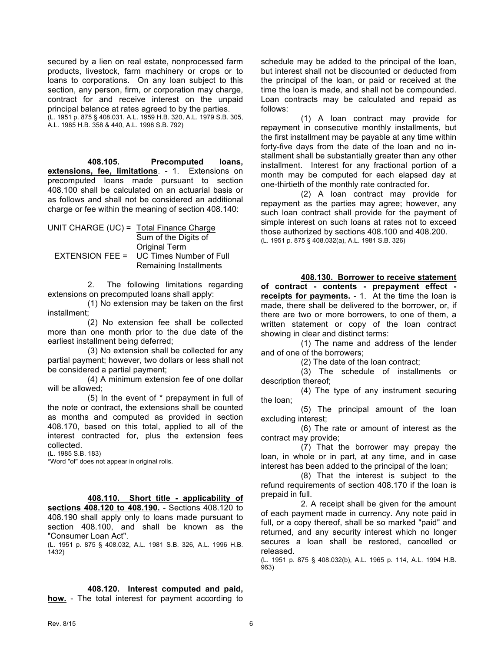secured by a lien on real estate, nonprocessed farm products, livestock, farm machinery or crops or to loans to corporations. On any loan subject to this section, any person, firm, or corporation may charge, contract for and receive interest on the unpaid principal balance at rates agreed to by the parties. (L. 1951 p. 875 § 408.031, A.L. 1959 H.B. 320, A.L. 1979 S.B. 305, A.L. 1985 H.B. 358 & 440, A.L. 1998 S.B. 792)

**408.105. Precomputed loans, extensions, fee, limitations**. - 1. Extensions on precomputed loans made pursuant to section 408.100 shall be calculated on an actuarial basis or as follows and shall not be considered an additional charge or fee within the meaning of section 408.140:

| UNIT CHARGE (UC) = Total Finance Charge |
|-----------------------------------------|
| Sum of the Digits of                    |
| <b>Original Term</b>                    |
| <b>UC Times Number of Full</b>          |
| Remaining Installments                  |
|                                         |

2. The following limitations regarding extensions on precomputed loans shall apply:

(1) No extension may be taken on the first installment;

(2) No extension fee shall be collected more than one month prior to the due date of the earliest installment being deferred;

(3) No extension shall be collected for any partial payment; however, two dollars or less shall not be considered a partial payment;

(4) A minimum extension fee of one dollar will be allowed;

(5) In the event of \* prepayment in full of the note or contract, the extensions shall be counted as months and computed as provided in section 408.170, based on this total, applied to all of the interest contracted for, plus the extension fees collected.

(L. 1985 S.B. 183)

\*Word "of" does not appear in original rolls.

**408.110. Short title - applicability of sections 408.120 to 408.190.** - Sections 408.120 to 408.190 shall apply only to loans made pursuant to section 408.100, and shall be known as the "Consumer Loan Act".

(L. 1951 p. 875 § 408.032, A.L. 1981 S.B. 326, A.L. 1996 H.B. 1432)

schedule may be added to the principal of the loan, but interest shall not be discounted or deducted from the principal of the loan, or paid or received at the time the loan is made, and shall not be compounded. Loan contracts may be calculated and repaid as follows:

(1) A loan contract may provide for repayment in consecutive monthly installments, but the first installment may be payable at any time within forty-five days from the date of the loan and no installment shall be substantially greater than any other installment. Interest for any fractional portion of a month may be computed for each elapsed day at one-thirtieth of the monthly rate contracted for.

(2) A loan contract may provide for repayment as the parties may agree; however, any such loan contract shall provide for the payment of simple interest on such loans at rates not to exceed those authorized by sections 408.100 and 408.200. (L. 1951 p. 875 § 408.032(a), A.L. 1981 S.B. 326)

**408.130. Borrower to receive statement** 

**of contract - contents - prepayment effect receipts for payments.** - 1. At the time the loan is made, there shall be delivered to the borrower, or, if there are two or more borrowers, to one of them, a written statement or copy of the loan contract showing in clear and distinct terms:

(1) The name and address of the lender and of one of the borrowers;

(2) The date of the loan contract;

(3) The schedule of installments or description thereof;

(4) The type of any instrument securing the loan;

(5) The principal amount of the loan excluding interest;

(6) The rate or amount of interest as the contract may provide;

(7) That the borrower may prepay the loan, in whole or in part, at any time, and in case interest has been added to the principal of the loan;

(8) That the interest is subject to the refund requirements of section 408.170 if the loan is prepaid in full.

2. A receipt shall be given for the amount of each payment made in currency. Any note paid in full, or a copy thereof, shall be so marked "paid" and returned, and any security interest which no longer secures a loan shall be restored, cancelled or released.

(L. 1951 p. 875 § 408.032(b), A.L. 1965 p. 114, A.L. 1994 H.B. 963)

**<sup>408.120.</sup> Interest computed and paid, how.** - The total interest for payment according to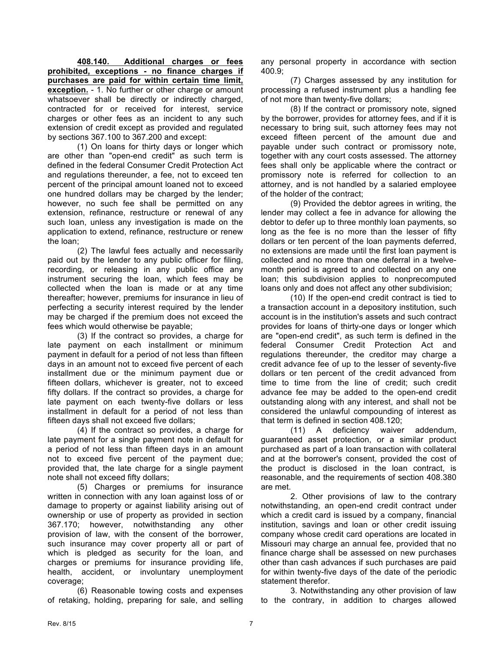**408.140. Additional charges or fees prohibited, exceptions - no finance charges if purchases are paid for within certain time limit, exception.** - 1. No further or other charge or amount whatsoever shall be directly or indirectly charged, contracted for or received for interest, service charges or other fees as an incident to any such extension of credit except as provided and regulated by sections 367.100 to 367.200 and except:

(1) On loans for thirty days or longer which are other than "open-end credit" as such term is defined in the federal Consumer Credit Protection Act and regulations thereunder, a fee, not to exceed ten percent of the principal amount loaned not to exceed one hundred dollars may be charged by the lender; however, no such fee shall be permitted on any extension, refinance, restructure or renewal of any such loan, unless any investigation is made on the application to extend, refinance, restructure or renew the loan;

(2) The lawful fees actually and necessarily paid out by the lender to any public officer for filing, recording, or releasing in any public office any instrument securing the loan, which fees may be collected when the loan is made or at any time thereafter; however, premiums for insurance in lieu of perfecting a security interest required by the lender may be charged if the premium does not exceed the fees which would otherwise be payable;

(3) If the contract so provides, a charge for late payment on each installment or minimum payment in default for a period of not less than fifteen days in an amount not to exceed five percent of each installment due or the minimum payment due or fifteen dollars, whichever is greater, not to exceed fifty dollars. If the contract so provides, a charge for late payment on each twenty-five dollars or less installment in default for a period of not less than fifteen days shall not exceed five dollars;

(4) If the contract so provides, a charge for late payment for a single payment note in default for a period of not less than fifteen days in an amount not to exceed five percent of the payment due; provided that, the late charge for a single payment note shall not exceed fifty dollars;

(5) Charges or premiums for insurance written in connection with any loan against loss of or damage to property or against liability arising out of ownership or use of property as provided in section 367.170; however, notwithstanding any other provision of law, with the consent of the borrower, such insurance may cover property all or part of which is pledged as security for the loan, and charges or premiums for insurance providing life, health, accident, or involuntary unemployment coverage;

(6) Reasonable towing costs and expenses of retaking, holding, preparing for sale, and selling

any personal property in accordance with section 400.9;

(7) Charges assessed by any institution for processing a refused instrument plus a handling fee of not more than twenty-five dollars;

(8) If the contract or promissory note, signed by the borrower, provides for attorney fees, and if it is necessary to bring suit, such attorney fees may not exceed fifteen percent of the amount due and payable under such contract or promissory note, together with any court costs assessed. The attorney fees shall only be applicable where the contract or promissory note is referred for collection to an attorney, and is not handled by a salaried employee of the holder of the contract;

(9) Provided the debtor agrees in writing, the lender may collect a fee in advance for allowing the debtor to defer up to three monthly loan payments, so long as the fee is no more than the lesser of fifty dollars or ten percent of the loan payments deferred, no extensions are made until the first loan payment is collected and no more than one deferral in a twelvemonth period is agreed to and collected on any one loan; this subdivision applies to nonprecomputed loans only and does not affect any other subdivision;

(10) If the open-end credit contract is tied to a transaction account in a depository institution, such account is in the institution's assets and such contract provides for loans of thirty-one days or longer which are "open-end credit", as such term is defined in the federal Consumer Credit Protection Act and regulations thereunder, the creditor may charge a credit advance fee of up to the lesser of seventy-five dollars or ten percent of the credit advanced from time to time from the line of credit; such credit advance fee may be added to the open-end credit outstanding along with any interest, and shall not be considered the unlawful compounding of interest as that term is defined in section 408.120;

(11) A deficiency waiver addendum, guaranteed asset protection, or a similar product purchased as part of a loan transaction with collateral and at the borrower's consent, provided the cost of the product is disclosed in the loan contract, is reasonable, and the requirements of section 408.380 are met.

2. Other provisions of law to the contrary notwithstanding, an open-end credit contract under which a credit card is issued by a company, financial institution, savings and loan or other credit issuing company whose credit card operations are located in Missouri may charge an annual fee, provided that no finance charge shall be assessed on new purchases other than cash advances if such purchases are paid for within twenty-five days of the date of the periodic statement therefor.

3. Notwithstanding any other provision of law to the contrary, in addition to charges allowed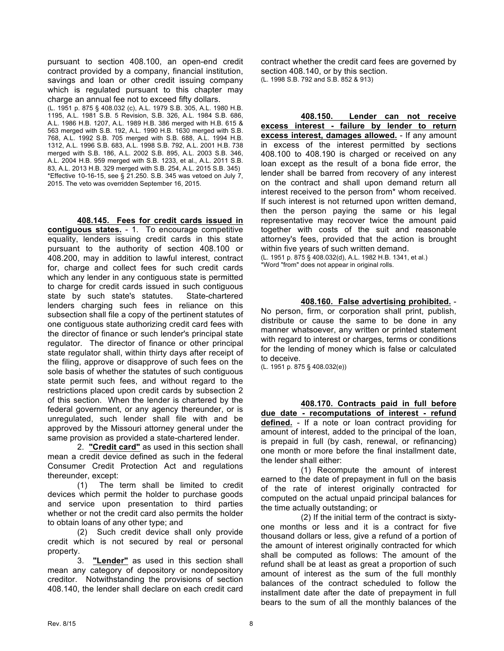pursuant to section 408.100, an open-end credit contract provided by a company, financial institution, savings and loan or other credit issuing company which is regulated pursuant to this chapter may charge an annual fee not to exceed fifty dollars. (L. 1951 p. 875 § 408.032 (c), A.L. 1979 S.B. 305, A.L. 1980 H.B. 1195, A.L. 1981 S.B. 5 Revision, S.B. 326, A.L. 1984 S.B. 686, A.L. 1986 H.B. 1207, A.L. 1989 H.B. 386 merged with H.B. 615 & 563 merged with S.B. 192, A.L. 1990 H.B. 1630 merged with S.B. 768, A.L. 1992 S.B. 705 merged with S.B. 688, A.L. 1994 H.B. 1312, A.L. 1996 S.B. 683, A.L. 1998 S.B. 792, A.L. 2001 H.B. 738 merged with S.B. 186, A.L. 2002 S.B. 895, A.L. 2003 S.B. 346, A.L. 2004 H.B. 959 merged with S.B. 1233, et al., A.L. 2011 S.B. 83, A.L. 2013 H.B. 329 merged with S.B. 254, A.L. 2015 S.B. 345) \*Effective 10-16-15, see § 21.250. S.B. 345 was vetoed on July  $7$ , 2015. The veto was overridden September 16, 2015.

**408.145. Fees for credit cards issued in contiguous states.** - 1. To encourage competitive equality, lenders issuing credit cards in this state pursuant to the authority of section 408.100 or 408.200, may in addition to lawful interest, contract for, charge and collect fees for such credit cards which any lender in any contiguous state is permitted to charge for credit cards issued in such contiguous state by such state's statutes. State-chartered lenders charging such fees in reliance on this subsection shall file a copy of the pertinent statutes of one contiguous state authorizing credit card fees with the director of finance or such lender's principal state regulator. The director of finance or other principal state regulator shall, within thirty days after receipt of the filing, approve or disapprove of such fees on the sole basis of whether the statutes of such contiguous state permit such fees, and without regard to the restrictions placed upon credit cards by subsection 2 of this section. When the lender is chartered by the federal government, or any agency thereunder, or is unregulated, such lender shall file with and be approved by the Missouri attorney general under the same provision as provided a state-chartered lender.

2. **"Credit card"** as used in this section shall mean a credit device defined as such in the federal Consumer Credit Protection Act and regulations thereunder, except:

(1) The term shall be limited to credit devices which permit the holder to purchase goods and service upon presentation to third parties whether or not the credit card also permits the holder to obtain loans of any other type; and

(2) Such credit device shall only provide credit which is not secured by real or personal property.

3. **"Lender"** as used in this section shall mean any category of depository or nondepository creditor. Notwithstanding the provisions of section 408.140, the lender shall declare on each credit card contract whether the credit card fees are governed by section 408.140, or by this section. (L. 1998 S.B. 792 and S.B. 852 & 913)

**408.150. Lender can not receive excess interest - failure by lender to return excess interest, damages allowed.** - If any amount in excess of the interest permitted by sections 408.100 to 408.190 is charged or received on any loan except as the result of a bona fide error, the lender shall be barred from recovery of any interest on the contract and shall upon demand return all interest received to the person from\* whom received. If such interest is not returned upon written demand, then the person paying the same or his legal representative may recover twice the amount paid together with costs of the suit and reasonable attorney's fees, provided that the action is brought within five years of such written demand.

(L. 1951 p. 875 § 408.032(d), A.L. 1982 H.B. 1341, et al.) \*Word "from" does not appear in original rolls.

#### **408.160. False advertising prohibited.** -

No person, firm, or corporation shall print, publish, distribute or cause the same to be done in any manner whatsoever, any written or printed statement with regard to interest or charges, terms or conditions for the lending of money which is false or calculated to deceive.

(L. 1951 p. 875 § 408.032(e))

**408.170. Contracts paid in full before due date - recomputations of interest - refund defined.** - If a note or loan contract providing for amount of interest, added to the principal of the loan, is prepaid in full (by cash, renewal, or refinancing) one month or more before the final installment date, the lender shall either:

(1) Recompute the amount of interest earned to the date of prepayment in full on the basis of the rate of interest originally contracted for computed on the actual unpaid principal balances for the time actually outstanding; or

(2) If the initial term of the contract is sixtyone months or less and it is a contract for five thousand dollars or less, give a refund of a portion of the amount of interest originally contracted for which shall be computed as follows: The amount of the refund shall be at least as great a proportion of such amount of interest as the sum of the full monthly balances of the contract scheduled to follow the installment date after the date of prepayment in full bears to the sum of all the monthly balances of the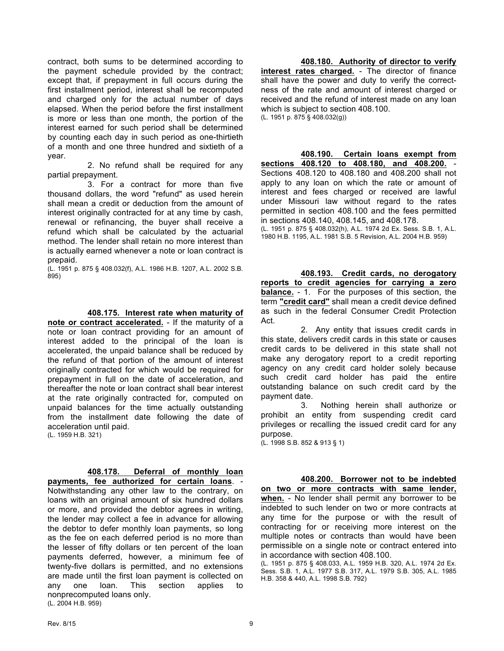contract, both sums to be determined according to the payment schedule provided by the contract; except that, if prepayment in full occurs during the first installment period, interest shall be recomputed and charged only for the actual number of days elapsed. When the period before the first installment is more or less than one month, the portion of the interest earned for such period shall be determined by counting each day in such period as one-thirtieth of a month and one three hundred and sixtieth of a year.

2. No refund shall be required for any partial prepayment.

3. For a contract for more than five thousand dollars, the word "refund" as used herein shall mean a credit or deduction from the amount of interest originally contracted for at any time by cash, renewal or refinancing, the buyer shall receive a refund which shall be calculated by the actuarial method. The lender shall retain no more interest than is actually earned whenever a note or loan contract is prepaid.

(L. 1951 p. 875 § 408.032(f), A.L. 1986 H.B. 1207, A.L. 2002 S.B. 895)

#### **408.175. Interest rate when maturity of**

**note or contract accelerated.** - If the maturity of a note or loan contract providing for an amount of interest added to the principal of the loan is accelerated, the unpaid balance shall be reduced by the refund of that portion of the amount of interest originally contracted for which would be required for prepayment in full on the date of acceleration, and thereafter the note or loan contract shall bear interest at the rate originally contracted for, computed on unpaid balances for the time actually outstanding from the installment date following the date of acceleration until paid.

(L. 1959 H.B. 321)

**408.178. Deferral of monthly loan** 

**payments, fee authorized for certain loans**. - Notwithstanding any other law to the contrary, on loans with an original amount of six hundred dollars or more, and provided the debtor agrees in writing, the lender may collect a fee in advance for allowing the debtor to defer monthly loan payments, so long as the fee on each deferred period is no more than the lesser of fifty dollars or ten percent of the loan payments deferred, however, a minimum fee of twenty-five dollars is permitted, and no extensions are made until the first loan payment is collected on any one loan. This section applies to nonprecomputed loans only. (L. 2004 H.B. 959)

### **408.180. Authority of director to verify**

**interest rates charged.** - The director of finance shall have the power and duty to verify the correctness of the rate and amount of interest charged or received and the refund of interest made on any loan which is subject to section 408.100. (L. 1951 p. 875 § 408.032(g))

**408.190. Certain loans exempt from sections 408.120 to 408.180, and 408.200.** - Sections 408.120 to 408.180 and 408.200 shall not apply to any loan on which the rate or amount of interest and fees charged or received are lawful under Missouri law without regard to the rates permitted in section 408.100 and the fees permitted in sections 408.140, 408.145, and 408.178.

(L. 1951 p. 875 § 408.032(h), A.L. 1974 2d Ex. Sess. S.B. 1, A.L. 1980 H.B. 1195, A.L. 1981 S.B. 5 Revision, A.L. 2004 H.B. 959)

**408.193. Credit cards, no derogatory reports to credit agencies for carrying a zero balance.** - 1. For the purposes of this section, the term **"credit card"** shall mean a credit device defined as such in the federal Consumer Credit Protection Act.

2. Any entity that issues credit cards in this state, delivers credit cards in this state or causes credit cards to be delivered in this state shall not make any derogatory report to a credit reporting agency on any credit card holder solely because such credit card holder has paid the entire outstanding balance on such credit card by the payment date.

3. Nothing herein shall authorize or prohibit an entity from suspending credit card privileges or recalling the issued credit card for any purpose.

(L. 1998 S.B. 852 & 913 § 1)

**408.200. Borrower not to be indebted on two or more contracts with same lender, when.** - No lender shall permit any borrower to be indebted to such lender on two or more contracts at any time for the purpose or with the result of contracting for or receiving more interest on the multiple notes or contracts than would have been permissible on a single note or contract entered into in accordance with section 408.100.

(L. 1951 p. 875 § 408.033, A.L. 1959 H.B. 320, A.L. 1974 2d Ex. Sess. S.B. 1, A.L. 1977 S.B. 317, A.L. 1979 S.B. 305, A.L. 1985 H.B. 358 & 440, A.L. 1998 S.B. 792)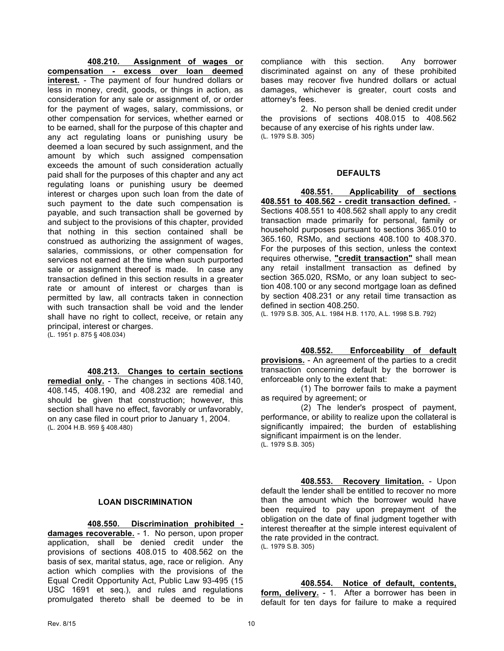**408.210. Assignment of wages or compensation - excess over loan deemed interest.** - The payment of four hundred dollars or less in money, credit, goods, or things in action, as consideration for any sale or assignment of, or order for the payment of wages, salary, commissions, or other compensation for services, whether earned or to be earned, shall for the purpose of this chapter and any act regulating loans or punishing usury be deemed a loan secured by such assignment, and the amount by which such assigned compensation exceeds the amount of such consideration actually paid shall for the purposes of this chapter and any act regulating loans or punishing usury be deemed interest or charges upon such loan from the date of such payment to the date such compensation is payable, and such transaction shall be governed by and subject to the provisions of this chapter, provided that nothing in this section contained shall be construed as authorizing the assignment of wages, salaries, commissions, or other compensation for services not earned at the time when such purported sale or assignment thereof is made. In case any transaction defined in this section results in a greater rate or amount of interest or charges than is permitted by law, all contracts taken in connection with such transaction shall be void and the lender shall have no right to collect, receive, or retain any principal, interest or charges. (L. 1951 p. 875 § 408.034)

#### **408.213. Changes to certain sections**

**remedial only.** - The changes in sections 408.140, 408.145, 408.190, and 408.232 are remedial and should be given that construction; however, this section shall have no effect, favorably or unfavorably, on any case filed in court prior to January 1, 2004. (L. 2004 H.B. 959 § 408.480)

compliance with this section. Any borrower discriminated against on any of these prohibited bases may recover five hundred dollars or actual damages, whichever is greater, court costs and attorney's fees.

2. No person shall be denied credit under the provisions of sections 408.015 to 408.562 because of any exercise of his rights under law. (L. 1979 S.B. 305)

#### **DEFAULTS**

**408.551. Applicability of sections 408.551 to 408.562 - credit transaction defined.** - Sections 408.551 to 408.562 shall apply to any credit transaction made primarily for personal, family or household purposes pursuant to sections 365.010 to 365.160, RSMo, and sections 408.100 to 408.370. For the purposes of this section, unless the context requires otherwise, **"credit transaction"** shall mean any retail installment transaction as defined by section 365.020, RSMo, or any loan subject to section 408.100 or any second mortgage loan as defined by section 408.231 or any retail time transaction as defined in section 408.250.

(L. 1979 S.B. 305, A.L. 1984 H.B. 1170, A.L. 1998 S.B. 792)

#### **408.552. Enforceability of default**

**provisions.** - An agreement of the parties to a credit transaction concerning default by the borrower is enforceable only to the extent that:

(1) The borrower fails to make a payment as required by agreement; or

(2) The lender's prospect of payment, performance, or ability to realize upon the collateral is significantly impaired; the burden of establishing significant impairment is on the lender. (L. 1979 S.B. 305)

#### **LOAN DISCRIMINATION**

**408.550. Discrimination prohibited damages recoverable.** - 1. No person, upon proper application, shall be denied credit under the provisions of sections 408.015 to 408.562 on the basis of sex, marital status, age, race or religion. Any action which complies with the provisions of the Equal Credit Opportunity Act, Public Law 93-495 (15 USC 1691 et seq.), and rules and regulations promulgated thereto shall be deemed to be in

**408.553. Recovery limitation.** - Upon default the lender shall be entitled to recover no more than the amount which the borrower would have been required to pay upon prepayment of the obligation on the date of final judgment together with interest thereafter at the simple interest equivalent of the rate provided in the contract. (L. 1979 S.B. 305)

**408.554. Notice of default, contents, form, delivery.** - 1. After a borrower has been in default for ten days for failure to make a required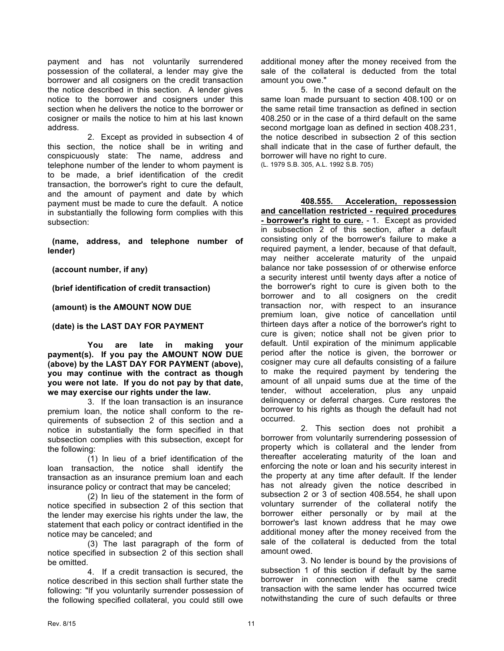payment and has not voluntarily surrendered possession of the collateral, a lender may give the borrower and all cosigners on the credit transaction the notice described in this section. A lender gives notice to the borrower and cosigners under this section when he delivers the notice to the borrower or cosigner or mails the notice to him at his last known address.

2. Except as provided in subsection 4 of this section, the notice shall be in writing and conspicuously state: The name, address and telephone number of the lender to whom payment is to be made, a brief identification of the credit transaction, the borrower's right to cure the default, and the amount of payment and date by which payment must be made to cure the default. A notice in substantially the following form complies with this subsection:

 **(name, address, and telephone number of lender)**

 **(account number, if any)**

 **(brief identification of credit transaction)**

 **(amount) is the AMOUNT NOW DUE**

 **(date) is the LAST DAY FOR PAYMENT**

**You are late in making your payment(s). If you pay the AMOUNT NOW DUE (above) by the LAST DAY FOR PAYMENT (above), you may continue with the contract as though you were not late. If you do not pay by that date, we may exercise our rights under the law.**

3. If the loan transaction is an insurance premium loan, the notice shall conform to the requirements of subsection 2 of this section and a notice in substantially the form specified in that subsection complies with this subsection, except for the following:

(1) In lieu of a brief identification of the loan transaction, the notice shall identify the transaction as an insurance premium loan and each insurance policy or contract that may be canceled;

(2) In lieu of the statement in the form of notice specified in subsection 2 of this section that the lender may exercise his rights under the law, the statement that each policy or contract identified in the notice may be canceled; and

(3) The last paragraph of the form of notice specified in subsection 2 of this section shall be omitted.

4. If a credit transaction is secured, the notice described in this section shall further state the following: "If you voluntarily surrender possession of the following specified collateral, you could still owe additional money after the money received from the sale of the collateral is deducted from the total amount you owe."

5. In the case of a second default on the same loan made pursuant to section 408.100 or on the same retail time transaction as defined in section 408.250 or in the case of a third default on the same second mortgage loan as defined in section 408.231, the notice described in subsection 2 of this section shall indicate that in the case of further default, the borrower will have no right to cure. (L. 1979 S.B. 305, A.L. 1992 S.B. 705)

**408.555. Acceleration, repossession and cancellation restricted - required procedures - borrower's right to cure.** - 1. Except as provided in subsection 2 of this section, after a default consisting only of the borrower's failure to make a required payment, a lender, because of that default, may neither accelerate maturity of the unpaid balance nor take possession of or otherwise enforce a security interest until twenty days after a notice of the borrower's right to cure is given both to the borrower and to all cosigners on the credit transaction nor, with respect to an insurance premium loan, give notice of cancellation until thirteen days after a notice of the borrower's right to cure is given; notice shall not be given prior to default. Until expiration of the minimum applicable period after the notice is given, the borrower or cosigner may cure all defaults consisting of a failure to make the required payment by tendering the amount of all unpaid sums due at the time of the tender, without acceleration, plus any unpaid delinquency or deferral charges. Cure restores the borrower to his rights as though the default had not occurred.

2. This section does not prohibit a borrower from voluntarily surrendering possession of property which is collateral and the lender from thereafter accelerating maturity of the loan and enforcing the note or loan and his security interest in the property at any time after default. If the lender has not already given the notice described in subsection 2 or 3 of section 408.554, he shall upon voluntary surrender of the collateral notify the borrower either personally or by mail at the borrower's last known address that he may owe additional money after the money received from the sale of the collateral is deducted from the total amount owed.

3. No lender is bound by the provisions of subsection 1 of this section if default by the same borrower in connection with the same credit transaction with the same lender has occurred twice notwithstanding the cure of such defaults or three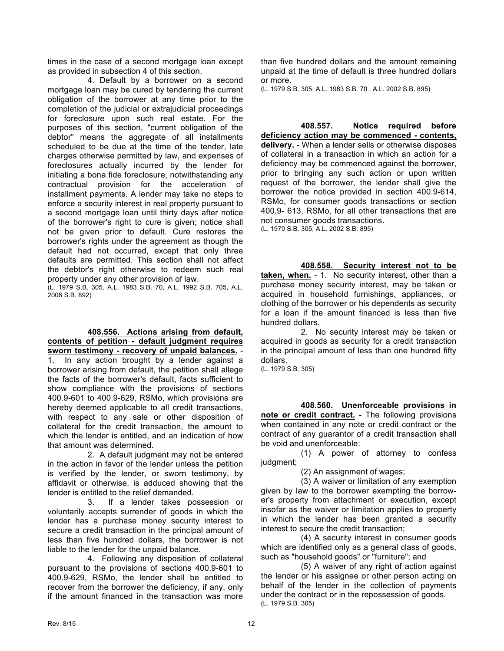times in the case of a second mortgage loan except as provided in subsection 4 of this section.

4. Default by a borrower on a second mortgage loan may be cured by tendering the current obligation of the borrower at any time prior to the completion of the judicial or extrajudicial proceedings for foreclosure upon such real estate. For the purposes of this section, "current obligation of the debtor" means the aggregate of all installments scheduled to be due at the time of the tender, late charges otherwise permitted by law, and expenses of foreclosures actually incurred by the lender for initiating a bona fide foreclosure, notwithstanding any contractual provision for the acceleration of installment payments. A lender may take no steps to enforce a security interest in real property pursuant to a second mortgage loan until thirty days after notice of the borrower's right to cure is given; notice shall not be given prior to default. Cure restores the borrower's rights under the agreement as though the default had not occurred, except that only three defaults are permitted. This section shall not affect the debtor's right otherwise to redeem such real property under any other provision of law.

(L. 1979 S.B. 305, A.L. 1983 S.B. 70, A.L. 1992 S.B. 705, A.L. 2006 S.B. 892)

**408.556. Actions arising from default, contents of petition - default judgment requires** 

**sworn testimony - recovery of unpaid balances.** - 1. In any action brought by a lender against a borrower arising from default, the petition shall allege the facts of the borrower's default, facts sufficient to show compliance with the provisions of sections 400.9-601 to 400.9-629, RSMo, which provisions are hereby deemed applicable to all credit transactions, with respect to any sale or other disposition of collateral for the credit transaction, the amount to which the lender is entitled, and an indication of how that amount was determined.

2. A default judgment may not be entered in the action in favor of the lender unless the petition is verified by the lender, or sworn testimony, by affidavit or otherwise, is adduced showing that the lender is entitled to the relief demanded.

3. If a lender takes possession or voluntarily accepts surrender of goods in which the lender has a purchase money security interest to secure a credit transaction in the principal amount of less than five hundred dollars, the borrower is not liable to the lender for the unpaid balance.

4. Following any disposition of collateral pursuant to the provisions of sections 400.9-601 to 400.9-629, RSMo, the lender shall be entitled to recover from the borrower the deficiency, if any, only if the amount financed in the transaction was more

than five hundred dollars and the amount remaining unpaid at the time of default is three hundred dollars or more.

(L. 1979 S.B. 305, A.L. 1983 S.B. 70 , A.L. 2002 S.B. 895)

**408.557. Notice required before deficiency action may be commenced - contents, delivery.** - When a lender sells or otherwise disposes of collateral in a transaction in which an action for a deficiency may be commenced against the borrower, prior to bringing any such action or upon written request of the borrower, the lender shall give the borrower the notice provided in section 400.9-614, RSMo, for consumer goods transactions or section 400.9- 613, RSMo, for all other transactions that are not consumer goods transactions. (L. 1979 S.B. 305, A.L. 2002 S.B. 895)

**408.558. Security interest not to be taken, when.** - 1. No security interest, other than a purchase money security interest, may be taken or acquired in household furnishings, appliances, or clothing of the borrower or his dependents as security for a loan if the amount financed is less than five

hundred dollars. 2. No security interest may be taken or acquired in goods as security for a credit transaction in the principal amount of less than one hundred fifty dollars.

(L. 1979 S.B. 305)

**408.560. Unenforceable provisions in** 

**note or credit contract.** - The following provisions when contained in any note or credit contract or the contract of any guarantor of a credit transaction shall be void and unenforceable:

(1) A power of attorney to confess judgment;

(2) An assignment of wages;

(3) A waiver or limitation of any exemption given by law to the borrower exempting the borrower's property from attachment or execution, except insofar as the waiver or limitation applies to property in which the lender has been granted a security interest to secure the credit transaction;

(4) A security interest in consumer goods which are identified only as a general class of goods, such as "household goods" or "furniture"; and

(5) A waiver of any right of action against the lender or his assignee or other person acting on behalf of the lender in the collection of payments under the contract or in the repossession of goods. (L. 1979 S.B. 305)